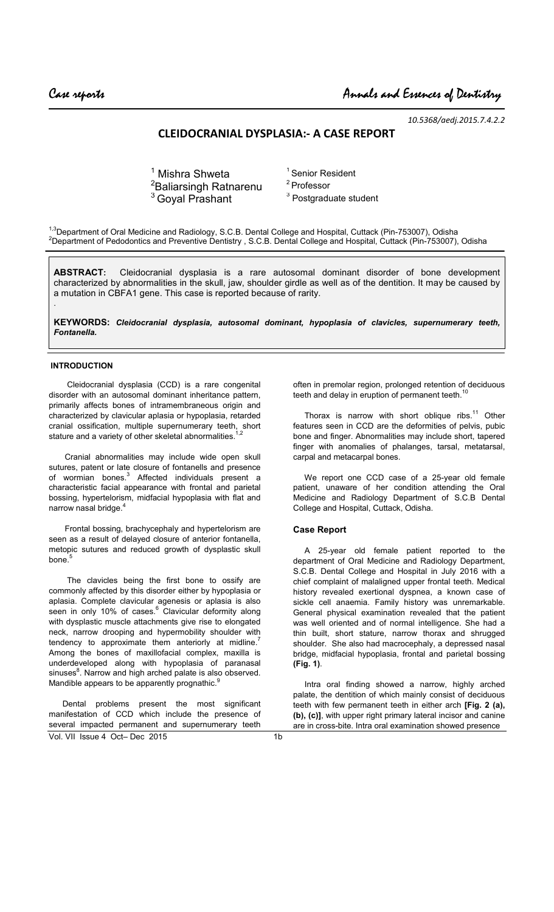*10.5368/aedj.2015.7.4.2.2*

# **CLEIDOCRANIAL DYSPLASIA:- A CASE REPORT**

 $1$  Mishra Shweta  $1$ Senior Resident <sup>2</sup>Baliarsingh Ratnarenu  $3$  Goyal Prashant

2 Professor <sup>3</sup> Postgraduate student

<sup>1,3</sup>Department of Oral Medicine and Radiology, S.C.B. Dental College and Hospital, Cuttack (Pin-753007), Odisha <sup>2</sup>Department of Pedodontics and Preventive Dentistry , S.C.B. Dental College and Hospital, Cuttack (Pin-753007), Odisha

**ABSTRACT:** Cleidocranial dysplasia is a rare autosomal dominant disorder of bone development characterized by abnormalities in the skull, jaw, shoulder girdle as well as of the dentition. It may be caused by a mutation in CBFA1 gene. This case is reported because of rarity.

**KEYWORDS:** *Cleidocranial dysplasia, autosomal dominant, hypoplasia of clavicles, supernumerary teeth, Fontanella.*

### **INTRODUCTION**

.

 Cleidocranial dysplasia (CCD) is a rare congenital disorder with an autosomal dominant inheritance pattern, primarily affects bones of intramembraneous origin and characterized by clavicular aplasia or hypoplasia, retarded cranial ossification, multiple supernumerary teeth, short stature and a variety of other skeletal abnormalities.<sup>1,2</sup>

 Cranial abnormalities may include wide open skull sutures, patent or late closure of fontanells and presence of wormian bones.<sup>3</sup> Affected individuals present a characteristic facial appearance with frontal and parietal bossing, hypertelorism, midfacial hypoplasia with flat and narrow nasal bridge.<sup>4</sup>

 Frontal bossing, brachycephaly and hypertelorism are seen as a result of delayed closure of anterior fontanella, metopic sutures and reduced growth of dysplastic skull  $h$ one $\frac{5}{3}$ 

 The clavicles being the first bone to ossify are commonly affected by this disorder either by hypoplasia or aplasia. Complete clavicular agenesis or aplasia is also seen in only 10% of cases.<sup>6</sup> Clavicular deformity along with dysplastic muscle attachments give rise to elongated neck, narrow drooping and hypermobility shoulder with tendency to approximate them anteriorly at midline.<sup>7</sup> Among the bones of maxillofacial complex, maxilla is underdeveloped along with hypoplasia of paranasal sinuses<sup>8</sup>. Narrow and high arched palate is also observed. Mandible appears to be apparently prognathic.<sup>9</sup>

Vol. VII Issue 4 Oct– Dec 2015 Dental problems present the most significant manifestation of CCD which include the presence of several impacted permanent and supernumerary teeth

often in premolar region, prolonged retention of deciduous teeth and delay in eruption of permanent teeth.<sup>1</sup>

Thorax is narrow with short oblique ribs. $11$  Other features seen in CCD are the deformities of pelvis, pubic bone and finger. Abnormalities may include short, tapered finger with anomalies of phalanges, tarsal, metatarsal, carpal and metacarpal bones.

 We report one CCD case of a 25-year old female patient, unaware of her condition attending the Oral Medicine and Radiology Department of S.C.B Dental College and Hospital, Cuttack, Odisha.

### **Case Report**

 A 25-year old female patient reported to the department of Oral Medicine and Radiology Department, S.C.B. Dental College and Hospital in July 2016 with a chief complaint of malaligned upper frontal teeth. Medical history revealed exertional dyspnea, a known case of sickle cell anaemia. Family history was unremarkable. General physical examination revealed that the patient was well oriented and of normal intelligence. She had a thin built, short stature, narrow thorax and shrugged shoulder. She also had macrocephaly, a depressed nasal bridge, midfacial hypoplasia, frontal and parietal bossing **(Fig. 1)**.

 Intra oral finding showed a narrow, highly arched palate, the dentition of which mainly consist of deciduous teeth with few permanent teeth in either arch **[Fig. 2 (a), (b), (c)]**, with upper right primary lateral incisor and canine are in cross-bite. Intra oral examination showed presence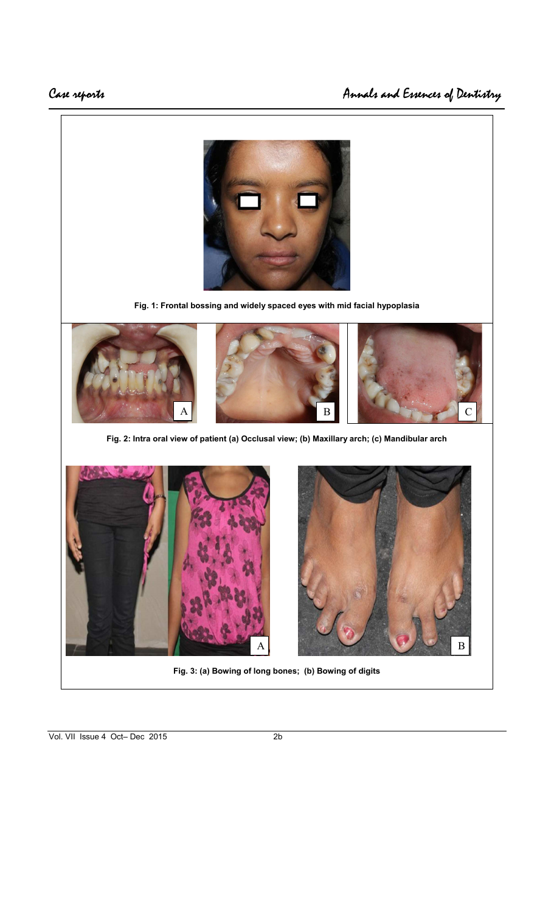

**Fig. 1: Frontal bossing and widely spaced eyes with mid facial hypoplasia** 



**Fig. 2: Intra oral view of patient (a) Occlusal view; (b) Maxillary arch; (c) Mandibular arch** 





**Fig. 3: (a) Bowing of long bones; (b) Bowing of digits**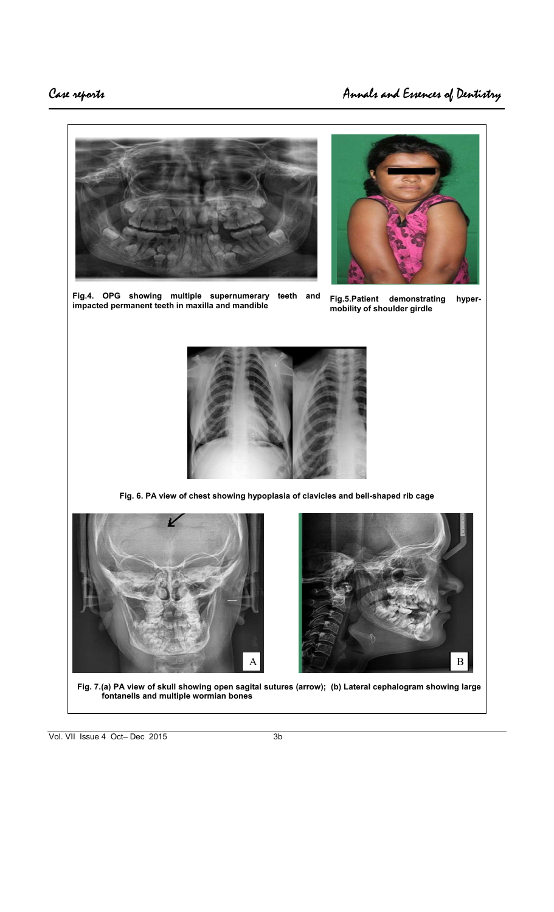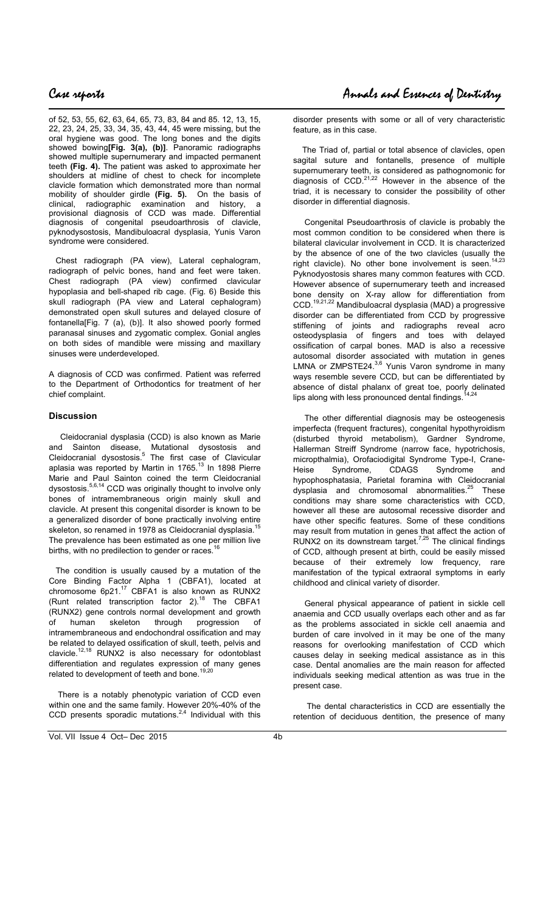of 52, 53, 55, 62, 63, 64, 65, 73, 83, 84 and 85. 12, 13, 15, 22, 23, 24, 25, 33, 34, 35, 43, 44, 45 were missing, but the oral hygiene was good. The long bones and the digits showed bowing**[Fig. 3(a), (b)]**. Panoramic radiographs showed multiple supernumerary and impacted permanent teeth **(Fig. 4).** The patient was asked to approximate her shoulders at midline of chest to check for incomplete clavicle formation which demonstrated more than normal mobility of shoulder girdle **(Fig. 5).** On the basis of clinical, radiographic examination and history, a provisional diagnosis of CCD was made. Differential diagnosis of congenital pseudoarthrosis of clavicle, pyknodysostosis, Mandibuloacral dysplasia, Yunis Varon syndrome were considered.

 Chest radiograph (PA view), Lateral cephalogram, radiograph of pelvic bones, hand and feet were taken. Chest radiograph (PA view) confirmed clavicular hypoplasia and bell-shaped rib cage. (Fig. 6) Beside this skull radiograph (PA view and Lateral cephalogram) demonstrated open skull sutures and delayed closure of fontanella[Fig. 7 (a), (b)]. It also showed poorly formed paranasal sinuses and zygomatic complex. Gonial angles on both sides of mandible were missing and maxillary sinuses were underdeveloped.

A diagnosis of CCD was confirmed. Patient was referred to the Department of Orthodontics for treatment of her chief complaint.

### **Discussion**

 Cleidocranial dysplasia (CCD) is also known as Marie and Sainton disease, Mutational dysostosis and Cleidocranial dysostosis.<sup>5</sup> The first case of Clavicular aplasia was reported by Martin in 1765. $^{13}$  In 1898 Pierre Marie and Paul Sainton coined the term Cleidocranial dysostosis.5,6,14 CCD was originally thought to involve only bones of intramembraneous origin mainly skull and clavicle. At present this congenital disorder is known to be a generalized disorder of bone practically involving entire skeleton, so renamed in 1978 as Cleidocranial dysplasia. The prevalence has been estimated as one per million live births, with no predilection to gender or races.<sup>1</sup>

 The condition is usually caused by a mutation of the Core Binding Factor Alpha 1 (CBFA1), located at chromosome  $6p21.<sup>17</sup>$  CBFA1 is also known as RUNX2 (Runt related transcription factor  $2)^{18}$  The CBFA1 (RUNX2) gene controls normal development and growth of human skeleton through progression of intramembraneous and endochondral ossification and may be related to delayed ossification of skull, teeth, pelvis and clavicle.<sup>12,18</sup> RUNX2 is also necessary for odontoblast differentiation and regulates expression of many genes related to development of teeth and bone.<sup>19,20</sup>

 There is a notably phenotypic variation of CCD even within one and the same family. However 20%-40% of the CCD presents sporadic mutations. $2,4$  Individual with this

disorder presents with some or all of very characteristic feature, as in this case.

 The Triad of, partial or total absence of clavicles, open sagital suture and fontanells, presence of multiple supernumerary teeth, is considered as pathognomonic for diagnosis of  $CCD$ <sup>21,22</sup> However in the absence of the triad, it is necessary to consider the possibility of other disorder in differential diagnosis.

 Congenital Pseudoarthrosis of clavicle is probably the most common condition to be considered when there is bilateral clavicular involvement in CCD. It is characterized by the absence of one of the two clavicles (usually the right clavicle). No other bone involvement is seen.<sup>14,23</sup> Pyknodyostosis shares many common features with CCD. However absence of supernumerary teeth and increased bone density on X-ray allow for differentiation from CCD.19,21,22 Mandibuloacral dysplasia (MAD) a progressive disorder can be differentiated from CCD by progressive stiffening of joints and radiographs reveal acro osteodysplasia of fingers and toes with delayed ossification of carpal bones. MAD is also a recessive autosomal disorder associated with mutation in genes LMNA or ZMPSTE24.<sup>3,6</sup> Yunis Varon syndrome in many ways resemble severe CCD, but can be differentiated by absence of distal phalanx of great toe, poorly delinated lips along with less pronounced dental findings.

 The other differential diagnosis may be osteogenesis imperfecta (frequent fractures), congenital hypothyroidism (disturbed thyroid metabolism), Gardner Syndrome, Hallerman Streiff Syndrome (narrow face, hypotrichosis, micropthalmia), Orofaciodigital Syndrome Type-I, Crane-Heise Syndrome, CDAGS Syndrome and hypophosphatasia, Parietal foramina with Cleidocranial dysplasia and chromosomal abnormalities.<sup>25</sup> These conditions may share some characteristics with CCD, however all these are autosomal recessive disorder and have other specific features. Some of these conditions may result from mutation in genes that affect the action of RUNX2 on its downstream target.<sup>7,25</sup> The clinical findings of CCD, although present at birth, could be easily missed because of their extremely low frequency, rare manifestation of the typical extraoral symptoms in early childhood and clinical variety of disorder.

 General physical appearance of patient in sickle cell anaemia and CCD usually overlaps each other and as far as the problems associated in sickle cell anaemia and burden of care involved in it may be one of the many reasons for overlooking manifestation of CCD which causes delay in seeking medical assistance as in this case. Dental anomalies are the main reason for affected individuals seeking medical attention as was true in the present case.

 The dental characteristics in CCD are essentially the retention of deciduous dentition, the presence of many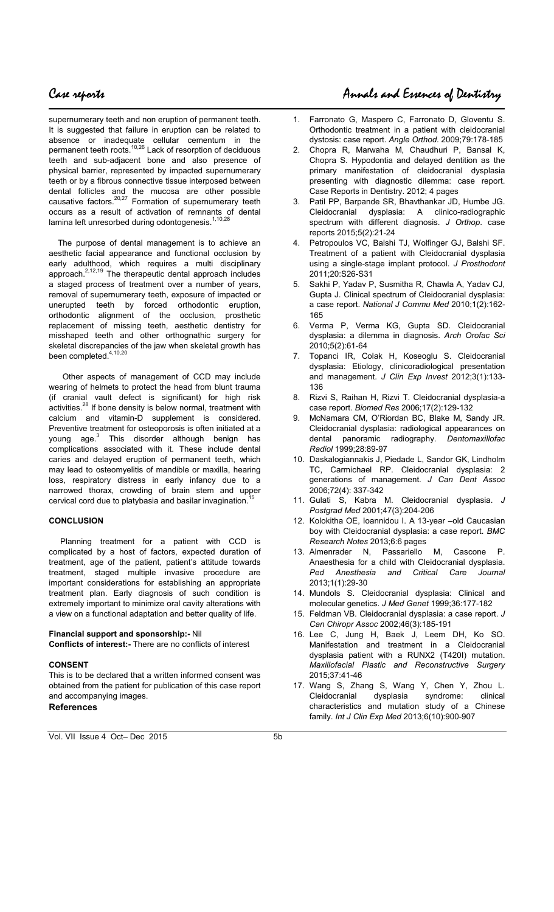supernumerary teeth and non eruption of permanent teeth. It is suggested that failure in eruption can be related to absence or inadequate cellular cementum in the permanent teeth roots.<sup>10,26</sup> Lack of resorption of deciduous teeth and sub-adjacent bone and also presence of physical barrier, represented by impacted supernumerary teeth or by a fibrous connective tissue interposed between dental follicles and the mucosa are other possible causative factors.<sup>20,27</sup> Formation of supernumerary teeth occurs as a result of activation of remnants of dental lamina left unresorbed during odontogenesis.<sup>1,10,28</sup>

 The purpose of dental management is to achieve an aesthetic facial appearance and functional occlusion by early adulthood, which requires a multi disciplinary approach.<sup>2,12,19</sup> The therapeutic dental approach includes a staged process of treatment over a number of years, removal of supernumerary teeth, exposure of impacted or unerupted teeth by forced orthodontic eruption, orthodontic alignment of the occlusion, prosthetic replacement of missing teeth, aesthetic dentistry for misshaped teeth and other orthognathic surgery for skeletal discrepancies of the jaw when skeletal growth has been completed.<sup>4,10,20</sup>

 Other aspects of management of CCD may include wearing of helmets to protect the head from blunt trauma (if cranial vault defect is significant) for high risk activities.<sup>28</sup> If bone density is below normal, treatment with calcium and vitamin-D supplement is considered. Preventive treatment for osteoporosis is often initiated at a young age.<sup>3</sup> This disorder although benign has complications associated with it. These include dental caries and delayed eruption of permanent teeth, which may lead to osteomyelitis of mandible or maxilla, hearing loss, respiratory distress in early infancy due to a narrowed thorax, crowding of brain stem and upper cervical cord due to platybasia and basilar invagination.

#### **CONCLUSION**

 Planning treatment for a patient with CCD is complicated by a host of factors, expected duration of treatment, age of the patient, patient's attitude towards treatment, staged multiple invasive procedure are important considerations for establishing an appropriate treatment plan. Early diagnosis of such condition is extremely important to minimize oral cavity alterations with a view on a functional adaptation and better quality of life.

#### **Financial support and sponsorship:-** Nil

**Conflicts of interest:-** There are no conflicts of interest

#### **CONSENT**

This is to be declared that a written informed consent was obtained from the patient for publication of this case report and accompanying images. **References** 

# Case reports Annals and Essences of Dentistry

- 1. Farronato G, Maspero C, Farronato D, Gloventu S. Orthodontic treatment in a patient with cleidocranial dystosis: case report. *Angle Orthod.* 2009;79:178-185
- 2. Chopra R, Marwaha M, Chaudhuri P, Bansal K, Chopra S. Hypodontia and delayed dentition as the primary manifestation of cleidocranial dysplasia presenting with diagnostic dilemma: case report. Case Reports in Dentistry. 2012; 4 pages
- 3. Patil PP, Barpande SR, Bhavthankar JD, Humbe JG. Cleidocranial dysplasia: A clinico-radiographic spectrum with different diagnosis. *J Orthop*. case reports 2015;5(2):21-24
- 4. Petropoulos VC, Balshi TJ, Wolfinger GJ, Balshi SF. Treatment of a patient with Cleidocranial dysplasia using a single-stage implant protocol. *J Prosthodont* 2011;20:S26-S31
- 5. Sakhi P, Yadav P, Susmitha R, Chawla A, Yadav CJ, Gupta J. Clinical spectrum of Cleidocranial dysplasia: a case report. *National J Commu Med* 2010;1(2):162- 165
- 6. Verma P, Verma KG, Gupta SD. Cleidocranial dysplasia: a dilemma in diagnosis. *Arch Orofac Sci*  2010;5(2):61-64
- 7. Topanci IR, Colak H, Koseoglu S. Cleidocranial dysplasia: Etiology, clinicoradiological presentation and management. *J Clin Exp Invest* 2012;3(1):133- 136
- 8. Rizvi S, Raihan H, Rizvi T. Cleidocranial dysplasia-a case report. *Biomed Res* 2006;17(2):129-132
- 9. McNamara CM, O'Riordan BC, Blake M, Sandy JR. Cleidocranial dysplasia: radiological appearances on dental panoramic radiography. *Dentomaxillofac Radiol* 1999;28:89-97
- 10. Daskalogiannakis J, Piedade L, Sandor GK, Lindholm TC, Carmichael RP. Cleidocranial dysplasia: 2 generations of management. *J Can Dent Assoc*  2006;72(4): 337-342
- 11. Gulati S, Kabra M. Cleidocranial dysplasia. *J Postgrad Med* 2001;47(3):204-206
- 12. Kolokitha OE, Ioannidou I. A 13-year –old Caucasian boy with Cleidocranial dysplasia: a case report. *BMC Research Notes* 2013;6:6 pages
- 13. Almenrader N, Passariello M, Cascone P. Anaesthesia for a child with Cleidocranial dysplasia. *Ped Anesthesia and Critical Care Journal*  2013;1(1):29-30
- 14. Mundols S. Cleidocranial dysplasia: Clinical and molecular genetics. *J Med Genet* 1999;36:177-182
- 15. Feldman VB. Cleidocranial dysplasia: a case report. *J Can Chiropr Assoc* 2002;46(3):185-191
- 16. Lee C, Jung H, Baek J, Leem DH, Ko SO. Manifestation and treatment in a Cleidocranial dysplasia patient with a RUNX2 (T420I) mutation. *Maxillofacial Plastic and Reconstructive Surgery*  2015;37:41-46
- 17. Wang S, Zhang S, Wang Y, Chen Y, Zhou L. Cleidocranial dysplasia syndrome: clinical characteristics and mutation study of a Chinese family. *Int J Clin Exp Med* 2013;6(10):900-907